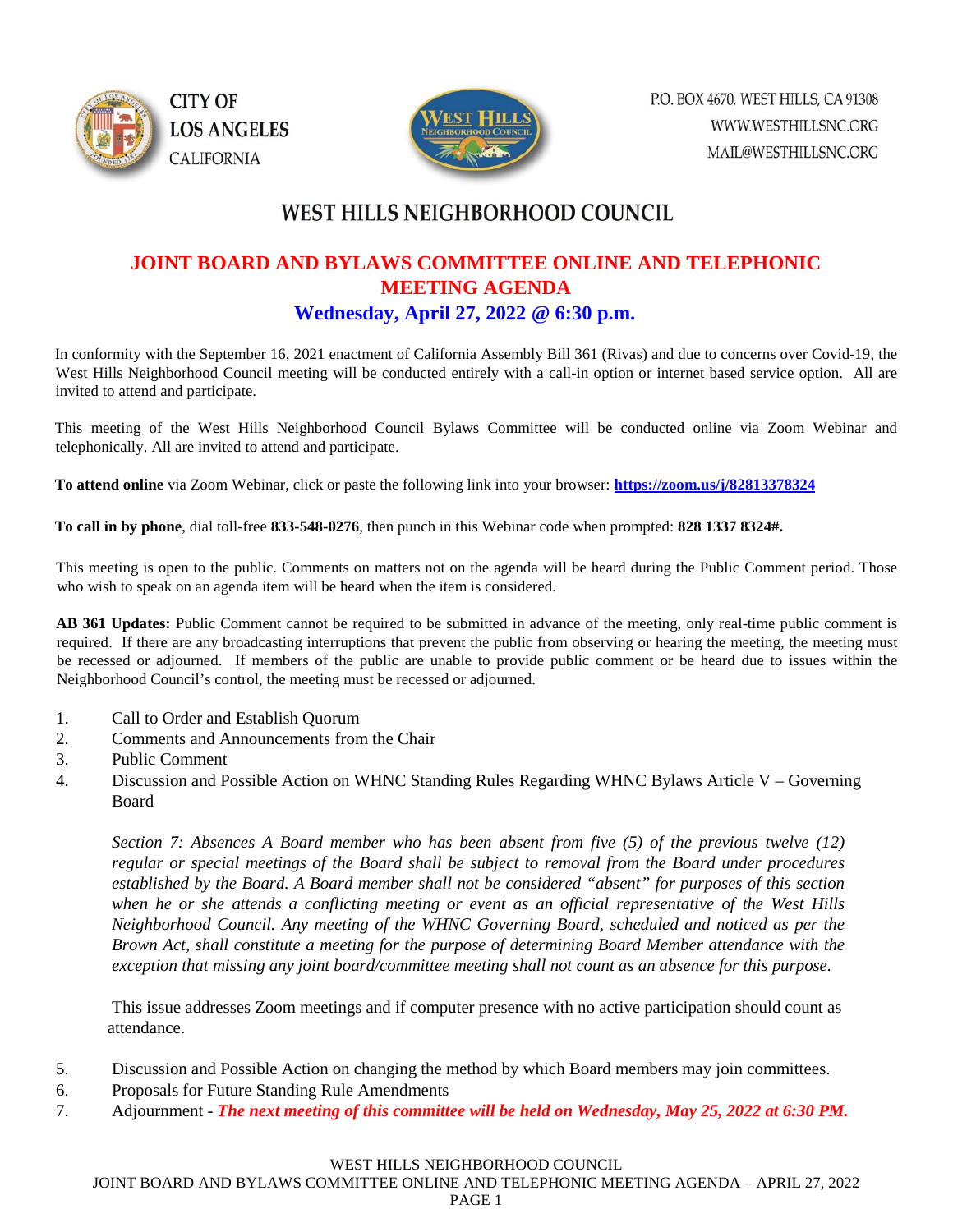



## WEST HILLS NEIGHBORHOOD COUNCIL

## **JOINT BOARD AND BYLAWS COMMITTEE ONLINE AND TELEPHONIC MEETING AGENDA Wednesday, April 27, 2022 @ 6:30 p.m.**

In conformity with the September 16, 2021 enactment of California Assembly Bill 361 (Rivas) and due to concerns over Covid-19, the West Hills Neighborhood Council meeting will be conducted entirely with a call-in option or internet based service option. All are invited to attend and participate.

This meeting of the West Hills Neighborhood Council Bylaws Committee will be conducted online via Zoom Webinar and telephonically. All are invited to attend and participate.

**To attend online** via Zoom Webinar, click or paste the following link into your browser: **<https://zoom.us/j/82813378324>**

**To call in by phone**, dial toll-free **833-548-0276**, then punch in this Webinar code when prompted: **828 1337 8324#.** 

This meeting is open to the public. Comments on matters not on the agenda will be heard during the Public Comment period. Those who wish to speak on an agenda item will be heard when the item is considered.

**AB 361 Updates:** Public Comment cannot be required to be submitted in advance of the meeting, only real-time public comment is required. If there are any broadcasting interruptions that prevent the public from observing or hearing the meeting, the meeting must be recessed or adjourned. If members of the public are unable to provide public comment or be heard due to issues within the Neighborhood Council's control, the meeting must be recessed or adjourned.

- 1. Call to Order and Establish Quorum
- 2. Comments and Announcements from the Chair
- 3. Public Comment
- 4. Discussion and Possible Action on WHNC Standing Rules Regarding WHNC Bylaws Article V Governing Board

*Section 7: Absences A Board member who has been absent from five (5) of the previous twelve (12) regular or special meetings of the Board shall be subject to removal from the Board under procedures established by the Board. A Board member shall not be considered "absent" for purposes of this section when he or she attends a conflicting meeting or event as an official representative of the West Hills Neighborhood Council. Any meeting of the WHNC Governing Board, scheduled and noticed as per the Brown Act, shall constitute a meeting for the purpose of determining Board Member attendance with the exception that missing any joint board/committee meeting shall not count as an absence for this purpose.*

This issue addresses Zoom meetings and if computer presence with no active participation should count as attendance.

- 5. Discussion and Possible Action on changing the method by which Board members may join committees.
- 6. Proposals for Future Standing Rule Amendments
- 7. Adjournment *The next meeting of this committee will be held on Wednesday, May 25, 2022 at 6:30 PM.*

## WEST HILLS NEIGHBORHOOD COUNCIL

JOINT BOARD AND BYLAWS COMMITTEE ONLINE AND TELEPHONIC MEETING AGENDA – APRIL 27, 2022

## PAGE 1